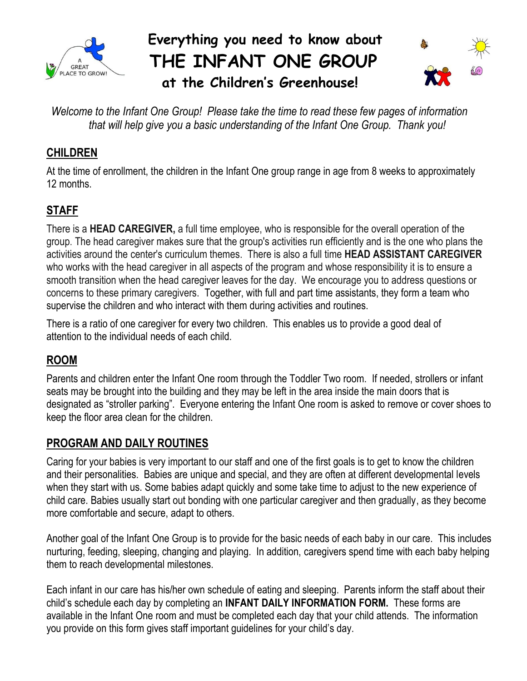

## **Everything you need to know about THE INFANT ONE GROUP at the Children's Greenhouse!**



*Welcome to the Infant One Group! Please take the time to read these few pages of information that will help give you a basic understanding of the Infant One Group. Thank you!*

## **CHILDREN**

At the time of enrollment, the children in the Infant One group range in age from 8 weeks to approximately 12 months.

## **STAFF**

There is a **HEAD CAREGIVER,** a full time employee, who is responsible for the overall operation of the group. The head caregiver makes sure that the group's activities run efficiently and is the one who plans the activities around the center's curriculum themes. There is also a full time **HEAD ASSISTANT CAREGIVER**  who works with the head caregiver in all aspects of the program and whose responsibility it is to ensure a smooth transition when the head caregiver leaves for the day. We encourage you to address questions or concerns to these primary caregivers. Together, with full and part time assistants, they form a team who supervise the children and who interact with them during activities and routines.

There is a ratio of one caregiver for every two children. This enables us to provide a good deal of attention to the individual needs of each child.

## **ROOM**

Parents and children enter the Infant One room through the Toddler Two room. If needed, strollers or infant seats may be brought into the building and they may be left in the area inside the main doors that is designated as "stroller parking". Everyone entering the Infant One room is asked to remove or cover shoes to keep the floor area clean for the children.

## **PROGRAM AND DAILY ROUTINES**

Caring for your babies is very important to our staff and one of the first goals is to get to know the children and their personalities. Babies are unique and special, and they are often at different developmental levels when they start with us. Some babies adapt quickly and some take time to adjust to the new experience of child care. Babies usually start out bonding with one particular caregiver and then gradually, as they become more comfortable and secure, adapt to others.

Another goal of the Infant One Group is to provide for the basic needs of each baby in our care. This includes nurturing, feeding, sleeping, changing and playing. In addition, caregivers spend time with each baby helping them to reach developmental milestones.

Each infant in our care has his/her own schedule of eating and sleeping. Parents inform the staff about their child's schedule each day by completing an **INFANT DAILY INFORMATION FORM.** These forms are available in the Infant One room and must be completed each day that your child attends. The information you provide on this form gives staff important guidelines for your child's day.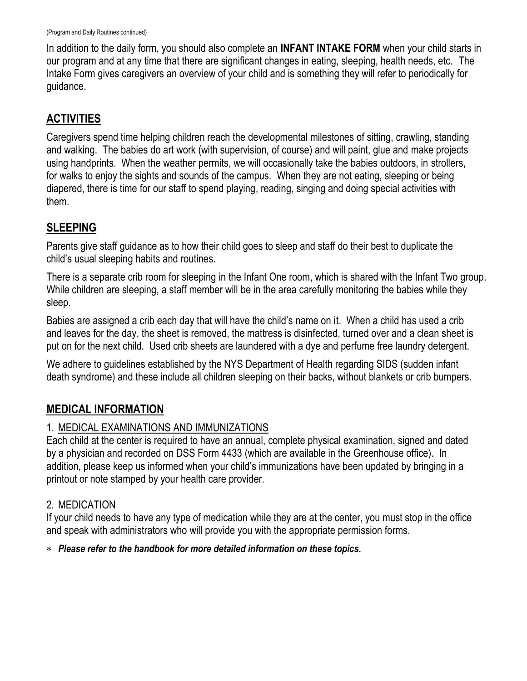In addition to the daily form, you should also complete an **INFANT INTAKE FORM** when your child starts in our program and at any time that there are significant changes in eating, sleeping, health needs, etc. The Intake Form gives caregivers an overview of your child and is something they will refer to periodically for guidance.

### **ACTIVITIES**

Caregivers spend time helping children reach the developmental milestones of sitting, crawling, standing and walking. The babies do art work (with supervision, of course) and will paint, glue and make projects using handprints. When the weather permits, we will occasionally take the babies outdoors, in strollers, for walks to enjoy the sights and sounds of the campus. When they are not eating, sleeping or being diapered, there is time for our staff to spend playing, reading, singing and doing special activities with them.

#### **SLEEPING**

Parents give staff guidance as to how their child goes to sleep and staff do their best to duplicate the child's usual sleeping habits and routines.

There is a separate crib room for sleeping in the Infant One room, which is shared with the Infant Two group. While children are sleeping, a staff member will be in the area carefully monitoring the babies while they sleep.

Babies are assigned a crib each day that will have the child's name on it. When a child has used a crib and leaves for the day, the sheet is removed, the mattress is disinfected, turned over and a clean sheet is put on for the next child. Used crib sheets are laundered with a dye and perfume free laundry detergent.

We adhere to guidelines established by the NYS Department of Health regarding SIDS (sudden infant death syndrome) and these include all children sleeping on their backs, without blankets or crib bumpers.

## **MEDICAL INFORMATION**

#### 1. MEDICAL EXAMINATIONS AND IMMUNIZATIONS

Each child at the center is required to have an annual, complete physical examination, signed and dated by a physician and recorded on DSS Form 4433 (which are available in the Greenhouse office). In addition, please keep us informed when your child's immunizations have been updated by bringing in a printout or note stamped by your health care provider.

#### 2. MEDICATION

If your child needs to have any type of medication while they are at the center, you must stop in the office and speak with administrators who will provide you with the appropriate permission forms.

#### *Please refer to the handbook for more detailed information on these topics.*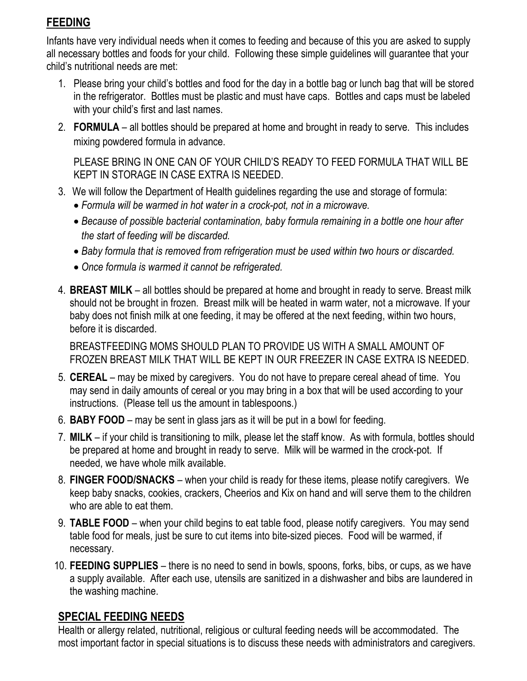## **FEEDING**

Infants have very individual needs when it comes to feeding and because of this you are asked to supply all necessary bottles and foods for your child. Following these simple guidelines will guarantee that your child's nutritional needs are met:

- 1. Please bring your child's bottles and food for the day in a bottle bag or lunch bag that will be stored in the refrigerator. Bottles must be plastic and must have caps. Bottles and caps must be labeled with your child's first and last names.
- 2. **FORMULA** all bottles should be prepared at home and brought in ready to serve. This includes mixing powdered formula in advance.

PLEASE BRING IN ONE CAN OF YOUR CHILD'S READY TO FEED FORMULA THAT WILL BE KEPT IN STORAGE IN CASE EXTRA IS NEEDED.

- 3. We will follow the Department of Health guidelines regarding the use and storage of formula:
	- *Formula will be warmed in hot water in a crock-pot, not in a microwave.*
	- *Because of possible bacterial contamination, baby formula remaining in a bottle one hour after the start of feeding will be discarded.*
	- *Baby formula that is removed from refrigeration must be used within two hours or discarded.*
	- *Once formula is warmed it cannot be refrigerated.*
- 4. **BREAST MILK** all bottles should be prepared at home and brought in ready to serve. Breast milk should not be brought in frozen. Breast milk will be heated in warm water, not a microwave. If your baby does not finish milk at one feeding, it may be offered at the next feeding, within two hours, before it is discarded.

BREASTFEEDING MOMS SHOULD PLAN TO PROVIDE US WITH A SMALL AMOUNT OF FROZEN BREAST MILK THAT WILL BE KEPT IN OUR FREEZER IN CASE EXTRA IS NEEDED.

- 5. **CEREAL** may be mixed by caregivers. You do not have to prepare cereal ahead of time. You may send in daily amounts of cereal or you may bring in a box that will be used according to your instructions. (Please tell us the amount in tablespoons.)
- 6. **BABY FOOD** may be sent in glass jars as it will be put in a bowl for feeding.
- 7. **MILK** if your child is transitioning to milk, please let the staff know. As with formula, bottles should be prepared at home and brought in ready to serve. Milk will be warmed in the crock-pot. If needed, we have whole milk available.
- 8. **FINGER FOOD/SNACKS** when your child is ready for these items, please notify caregivers. We keep baby snacks, cookies, crackers, Cheerios and Kix on hand and will serve them to the children who are able to eat them.
- 9. **TABLE FOOD** when your child begins to eat table food, please notify caregivers. You may send table food for meals, just be sure to cut items into bite-sized pieces. Food will be warmed, if necessary.
- 10. **FEEDING SUPPLIES** there is no need to send in bowls, spoons, forks, bibs, or cups, as we have a supply available. After each use, utensils are sanitized in a dishwasher and bibs are laundered in the washing machine.

#### **SPECIAL FEEDING NEEDS**

Health or allergy related, nutritional, religious or cultural feeding needs will be accommodated. The most important factor in special situations is to discuss these needs with administrators and caregivers.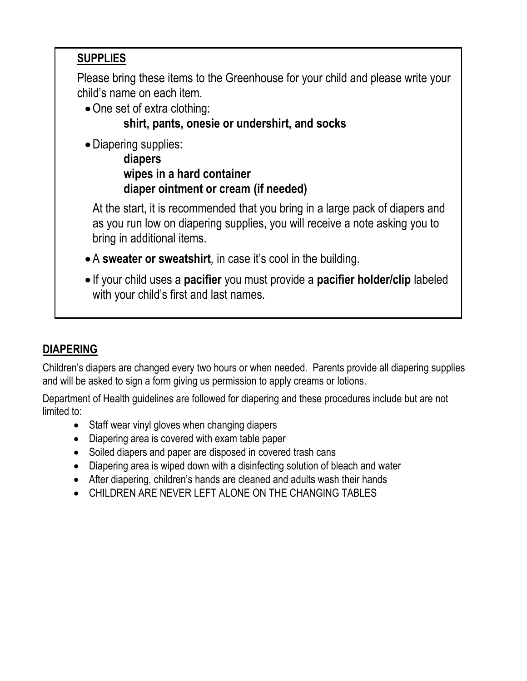## **SUPPLIES**

Please bring these items to the Greenhouse for your child and please write your child's name on each item.

• One set of extra clothing:

## **shirt, pants, onesie or undershirt, and socks**

Diapering supplies:

**diapers wipes in a hard container diaper ointment or cream (if needed)**

At the start, it is recommended that you bring in a large pack of diapers and as you run low on diapering supplies, you will receive a note asking you to bring in additional items.

- A **sweater or sweatshirt***,* in case it's cool in the building.
- If your child uses a **pacifier** you must provide a **pacifier holder/clip** labeled with your child's first and last names.

## **DIAPERING**

Children's diapers are changed every two hours or when needed. Parents provide all diapering supplies and will be asked to sign a form giving us permission to apply creams or lotions.

Department of Health guidelines are followed for diapering and these procedures include but are not limited to:

- Staff wear vinyl gloves when changing diapers
- Diapering area is covered with exam table paper
- Soiled diapers and paper are disposed in covered trash cans
- Diapering area is wiped down with a disinfecting solution of bleach and water
- After diapering, children's hands are cleaned and adults wash their hands
- CHILDREN ARE NEVER LEFT ALONE ON THE CHANGING TABLES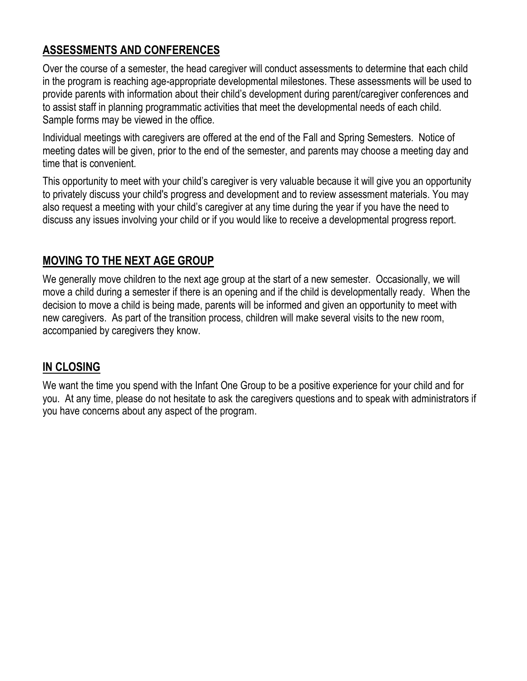### **ASSESSMENTS AND CONFERENCES**

Over the course of a semester, the head caregiver will conduct assessments to determine that each child in the program is reaching age-appropriate developmental milestones. These assessments will be used to provide parents with information about their child's development during parent/caregiver conferences and to assist staff in planning programmatic activities that meet the developmental needs of each child. Sample forms may be viewed in the office.

Individual meetings with caregivers are offered at the end of the Fall and Spring Semesters. Notice of meeting dates will be given, prior to the end of the semester, and parents may choose a meeting day and time that is convenient.

This opportunity to meet with your child's caregiver is very valuable because it will give you an opportunity to privately discuss your child's progress and development and to review assessment materials. You may also request a meeting with your child's caregiver at any time during the year if you have the need to discuss any issues involving your child or if you would like to receive a developmental progress report.

#### **MOVING TO THE NEXT AGE GROUP**

We generally move children to the next age group at the start of a new semester. Occasionally, we will move a child during a semester if there is an opening and if the child is developmentally ready. When the decision to move a child is being made, parents will be informed and given an opportunity to meet with new caregivers. As part of the transition process, children will make several visits to the new room, accompanied by caregivers they know.

## **IN CLOSING**

We want the time you spend with the Infant One Group to be a positive experience for your child and for you. At any time, please do not hesitate to ask the caregivers questions and to speak with administrators if you have concerns about any aspect of the program.